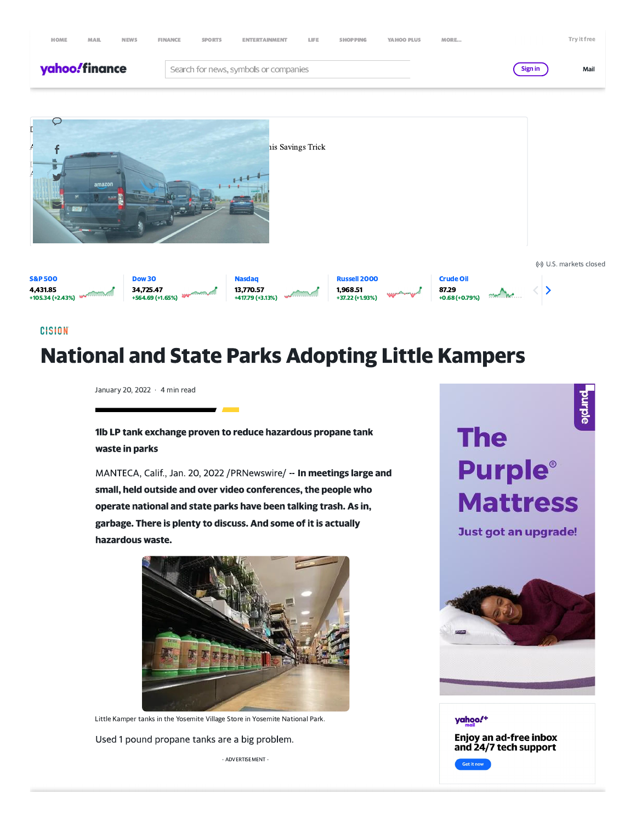



**CISION** 

# **National and State Parks Adopting Little Kampers**

January 20, 2022 · 4 min read

1lb LP tank exchange proven to reduce hazardous propane tank waste in parks

MANTECA, Calif., Jan. 20, 2022 / PRNewswire/ -- In meetings large and small, held outside and over video conferences, the people who operate national and state parks have been talking trash. As in, garbage. There is plenty to discuss. And some of it is actually hazardous waste.



Little Kamper tanks in the Yosemite Village Store in Yosemite National Park.

Used 1 pound propane tanks are a big problem.

- ADVERTISEMENT -

# burple **The Purple**® **Mattress**

Just got an upgrade!



yahoo!+ Enjoy an ad-free inbox and 24/7 tech support Get it now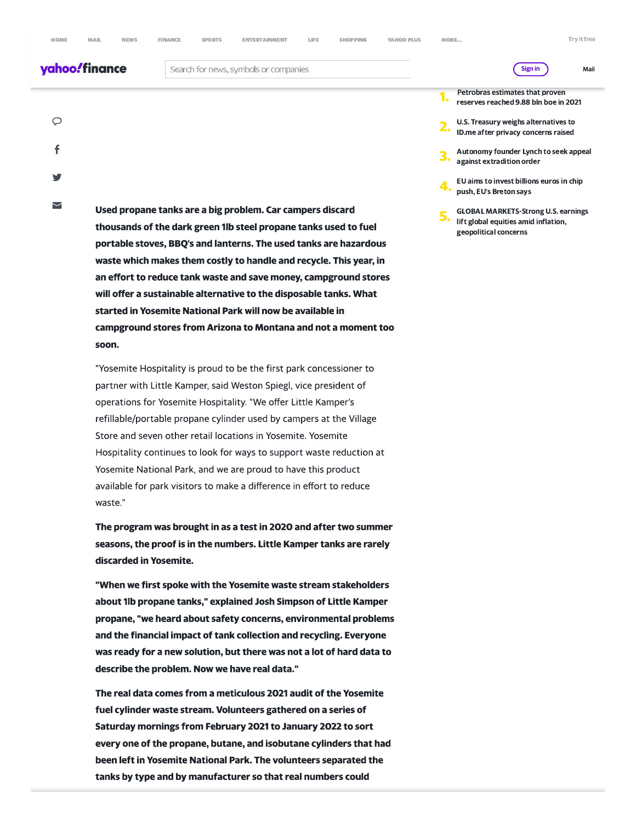Mail

# yahoo!finance

Search for news, symbols or companies

 $\circ$ f

 $\overline{\phantom{0}}$ 

Used propane tanks are a big problem. Car campers discard thousands of the dark green 1lb steel propane tanks used to fuel portable stoves, BBQ's and lanterns. The used tanks are hazardous waste which makes them costly to handle and recycle. This year, in an effort to reduce tank waste and save money, campground stores will offer a sustainable alternative to the disposable tanks. What started in Yosemite National Park will now be available in campground stores from Arizona to Montana and not a moment too soon.

"Yosemite Hospitality is proud to be the first park concessioner to partner with Little Kamper, said Weston Spiegl, vice president of operations for Yosemite Hospitality. "We offer Little Kamper's refillable/portable propane cylinder used by campers at the Village Store and seven other retail locations in Yosemite. Yosemite Hospitality continues to look for ways to support waste reduction at Yosemite National Park, and we are proud to have this product available for park visitors to make a difference in effort to reduce waste."

The program was brought in as a test in 2020 and after two summer seasons, the proof is in the numbers. Little Kamper tanks are rarely discarded in Yosemite.

"When we first spoke with the Yosemite waste stream stakeholders about 1lb propane tanks," explained Josh Simpson of Little Kamper propane, "we heard about safety concerns, environmental problems and the financial impact of tank collection and recycling. Everyone was ready for a new solution, but there was not a lot of hard data to describe the problem. Now we have real data."

The real data comes from a meticulous 2021 audit of the Yosemite fuel cylinder waste stream. Volunteers gathered on a series of Saturday mornings from February 2021 to January 2022 to sort every one of the propane, butane, and isobutane cylinders that had been left in Yosemite National Park. The volunteers separated the tanks by type and by manufacturer so that real numbers could

#### Petrobras estimates that proven 1. reserves reached 9.88 bln boe in 2021

Sign in

- U.S. Treasury weighs alternatives to ID.me after privacy concerns raised
- Autonomy founder Lynch to seek appeal against extradition order
- EU aims to invest billions euros in chip push, EU's Breton says
- **GLOBAL MARKETS-Strong U.S. earnings** lift global equities amid inflation, geopolitical concerns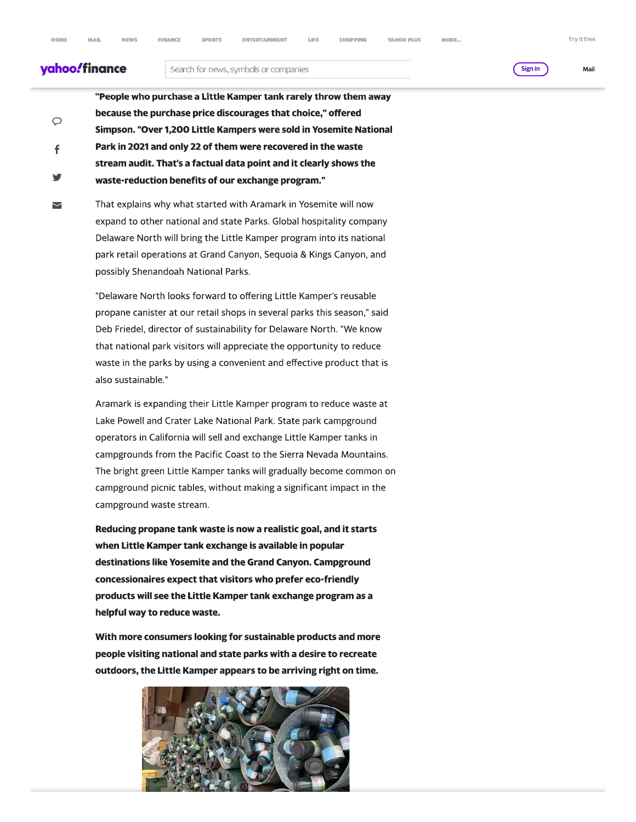$\varphi$ 

f

 $\overline{\phantom{0}}$ 

**NEWS** 

# yahoo!finance

### Search for news, symbols or companies

Sign in

Try it free

Mail

"People who purchase a Little Kamper tank rarely throw them away because the purchase price discourages that choice," offered Simpson. "Over 1,200 Little Kampers were sold in Yosemite National Park in 2021 and only 22 of them were recovered in the waste stream audit. That's a factual data point and it clearly shows the waste-reduction benefits of our exchange program."

That explains why what started with Aramark in Yosemite will now expand to other national and state Parks. Global hospitality company Delaware North will bring the Little Kamper program into its national park retail operations at Grand Canyon, Sequoia & Kings Canyon, and possibly Shenandoah National Parks.

"Delaware North looks forward to offering Little Kamper's reusable propane canister at our retail shops in several parks this season," said Deb Friedel, director of sustainability for Delaware North. "We know that national park visitors will appreciate the opportunity to reduce waste in the parks by using a convenient and effective product that is also sustainable."

Aramark is expanding their Little Kamper program to reduce waste at Lake Powell and Crater Lake National Park. State park campground operators in California will sell and exchange Little Kamper tanks in campgrounds from the Pacific Coast to the Sierra Nevada Mountains. The bright green Little Kamper tanks will gradually become common on campground picnic tables, without making a significant impact in the campground waste stream.

Reducing propane tank waste is now a realistic goal, and it starts when Little Kamper tank exchange is available in popular destinations like Yosemite and the Grand Canyon. Campground concessionaires expect that visitors who prefer eco-friendly products will see the Little Kamper tank exchange program as a helpful way to reduce waste.

With more consumers looking for sustainable products and more people visiting national and state parks with a desire to recreate outdoors, the Little Kamper appears to be arriving right on time.